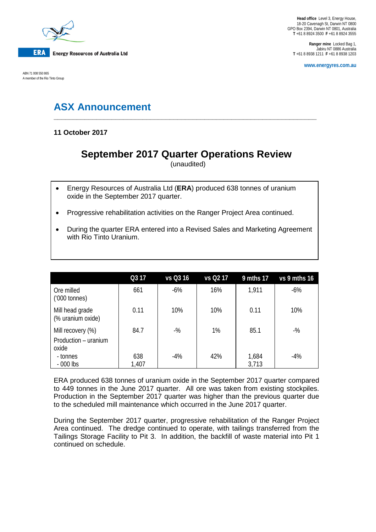

ABN 71 008 550 865 A member of the Rio Tinto Group

**Head office** Level 3, Energy House, 18-20 Cavenagh St, Darwin NT 0800 GPO Box 2394, Darwin NT 0801, Australia **T** +61 8 8924 3500 **F** +61 8 8924 3555

**Ranger mine** Locked Bag 1, Jabiru NT 0886 Australia **T** +61 8 8938 1211 **F** +61 8 8938 1203

**www.energyres.com.au**

# **ASX Announcement**

**11 October 2017**

# **September 2017 Quarter Operations Review**

**\_\_\_\_\_\_\_\_\_\_\_\_\_\_\_\_\_\_\_\_\_\_\_\_\_\_\_\_\_\_\_\_\_\_\_\_\_\_\_\_\_\_\_\_\_\_\_\_\_\_\_\_\_\_\_\_\_\_\_\_\_\_\_\_\_\_\_\_**

(unaudited)

- Energy Resources of Australia Ltd (**ERA**) produced 638 tonnes of uranium oxide in the September 2017 quarter.
- Progressive rehabilitation activities on the Ranger Project Area continued.
- During the quarter ERA entered into a Revised Sales and Marketing Agreement with Rio Tinto Uranium.

|                                      | Q317  | vs Q3 16 | vs Q <sub>2</sub> 17 | 9 mths 17 | vs 9 mths 16 |
|--------------------------------------|-------|----------|----------------------|-----------|--------------|
| Ore milled<br>$(000 \text{ tonnes})$ | 661   | $-6%$    | 16%                  | 1,911     | $-6%$        |
| Mill head grade<br>(% uranium oxide) | 0.11  | 10%      | 10%                  | 0.11      | 10%          |
| Mill recovery (%)                    | 84.7  | $-$ %    | 1%                   | 85.1      | $-$ %        |
| Production - uranium<br>oxide        |       |          |                      |           |              |
| - tonnes                             | 638   | $-4%$    | 42%                  | 1,684     | $-4%$        |
| $-000$ lbs                           | 1,407 |          |                      | 3,713     |              |

ERA produced 638 tonnes of uranium oxide in the September 2017 quarter compared to 449 tonnes in the June 2017 quarter. All ore was taken from existing stockpiles. Production in the September 2017 quarter was higher than the previous quarter due to the scheduled mill maintenance which occurred in the June 2017 quarter.

During the September 2017 quarter, progressive rehabilitation of the Ranger Project Area continued. The dredge continued to operate, with tailings transferred from the Tailings Storage Facility to Pit 3. In addition, the backfill of waste material into Pit 1 continued on schedule.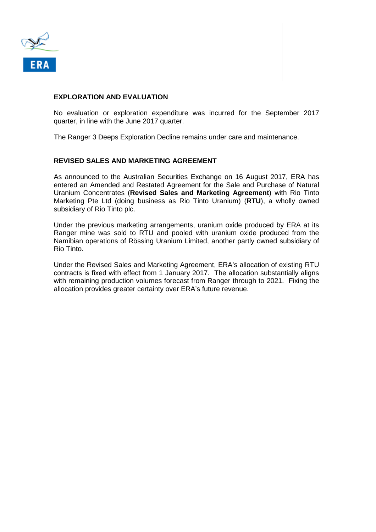

## **EXPLORATION AND EVALUATION**

No evaluation or exploration expenditure was incurred for the September 2017 quarter, in line with the June 2017 quarter.

The Ranger 3 Deeps Exploration Decline remains under care and maintenance.

## **REVISED SALES AND MARKETING AGREEMENT**

As announced to the Australian Securities Exchange on 16 August 2017, ERA has entered an Amended and Restated Agreement for the Sale and Purchase of Natural Uranium Concentrates (**Revised Sales and Marketing Agreement**) with Rio Tinto Marketing Pte Ltd (doing business as Rio Tinto Uranium) (**RTU**), a wholly owned subsidiary of Rio Tinto plc.

Under the previous marketing arrangements, uranium oxide produced by ERA at its Ranger mine was sold to RTU and pooled with uranium oxide produced from the Namibian operations of Rössing Uranium Limited, another partly owned subsidiary of Rio Tinto.

Under the Revised Sales and Marketing Agreement, ERA's allocation of existing RTU contracts is fixed with effect from 1 January 2017. The allocation substantially aligns with remaining production volumes forecast from Ranger through to 2021. Fixing the allocation provides greater certainty over ERA's future revenue.